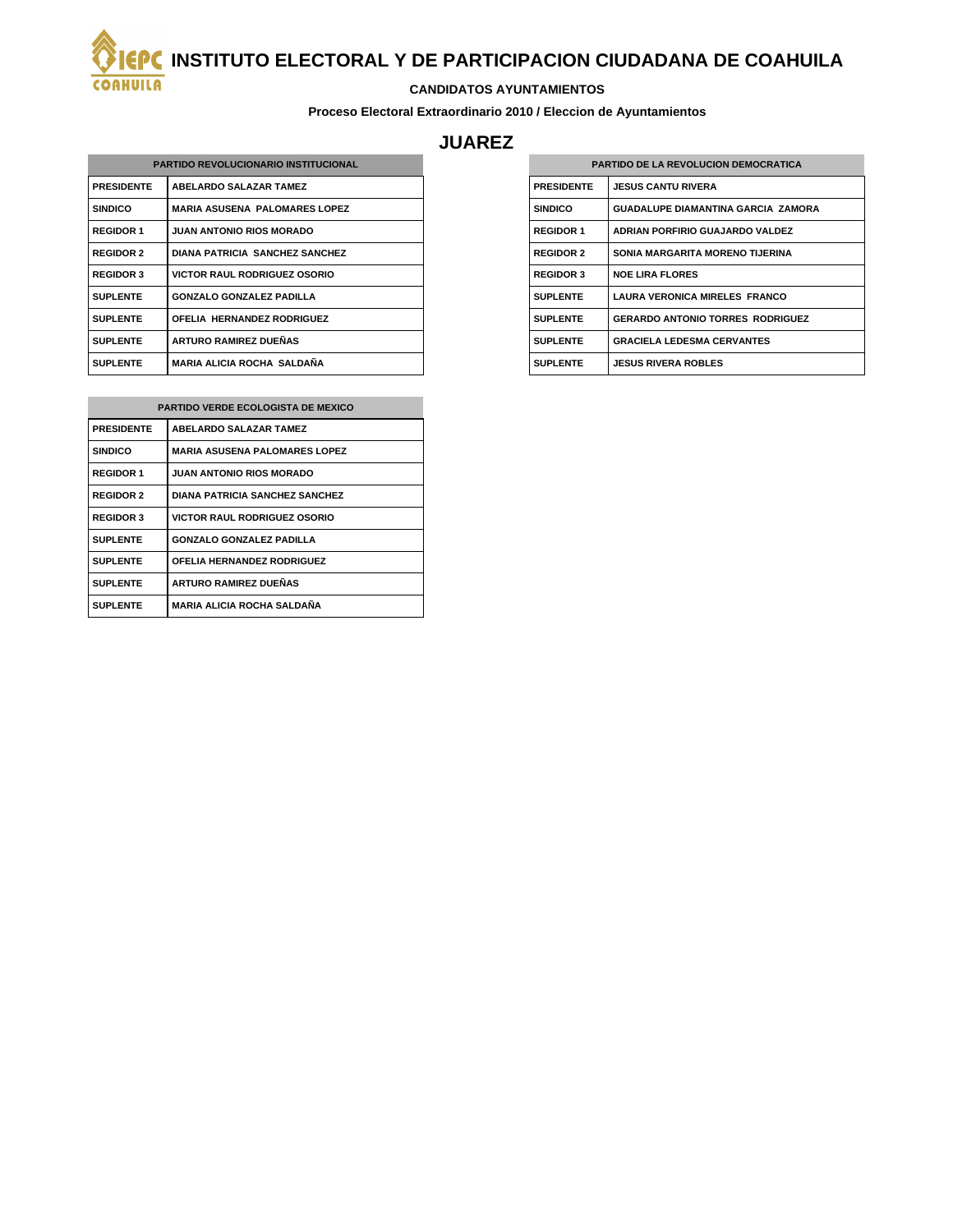**INSTITUTO ELECTORAL Y DE PARTICIPACION CIUDADANA DE COAHUILA**

## **CANDIDATOS AYUNTAMIENTOS**

**Proceso Electoral Extraordinario 2010 / Eleccion de Ayuntamientos**

## **JUAREZ**

| <b>PARTIDO REVOLUCIONARIO INSTITUCIONAL</b> |                                       |
|---------------------------------------------|---------------------------------------|
| <b>PRESIDENTE</b>                           | <b>ABELARDO SALAZAR TAMEZ</b>         |
| <b>SINDICO</b>                              | <b>MARIA ASUSENA PALOMARES LOPEZ</b>  |
| <b>REGIDOR 1</b>                            | <b>JUAN ANTONIO RIOS MORADO</b>       |
| <b>REGIDOR 2</b>                            | <b>DIANA PATRICIA SANCHEZ SANCHEZ</b> |
| <b>REGIDOR 3</b>                            | <b>VICTOR RAUL RODRIGUEZ OSORIO</b>   |
| <b>SUPLENTE</b>                             | <b>GONZALO GONZALEZ PADILLA</b>       |
| <b>SUPLENTE</b>                             | OFELIA HERNANDEZ RODRIGUEZ            |
| <b>SUPLENTE</b>                             | <b>ARTURO RAMIREZ DUEÑAS</b>          |
| <b>SUPLENTE</b>                             | MARIA ALICIA ROCHA SALDAÑA            |

**COAHUILA** 

| <b>PARTIDO VERDE ECOLOGISTA DE MEXICO</b> |                                       |
|-------------------------------------------|---------------------------------------|
| <b>PRESIDENTE</b>                         | <b>ABELARDO SALAZAR TAMEZ</b>         |
| <b>SINDICO</b>                            | <b>MARIA ASUSENA PALOMARES LOPEZ</b>  |
| <b>REGIDOR 1</b>                          | <b>JUAN ANTONIO RIOS MORADO</b>       |
| <b>REGIDOR 2</b>                          | <b>DIANA PATRICIA SANCHEZ SANCHEZ</b> |
| <b>REGIDOR 3</b>                          | <b>VICTOR RAUL RODRIGUEZ OSORIO</b>   |
| <b>SUPLENTE</b>                           | <b>GONZALO GONZALEZ PADILLA</b>       |
| <b>SUPLENTE</b>                           | <b>OFELIA HERNANDEZ RODRIGUEZ</b>     |
| <b>SUPLENTE</b>                           | <b>ARTURO RAMIREZ DUEÑAS</b>          |
| <b>SUPLENTE</b>                           | <b>MARIA ALICIA ROCHA SALDAÑA</b>     |

| <b>PARTIDO DE LA REVOLUCION DEMOCRATICA</b> |                                           |
|---------------------------------------------|-------------------------------------------|
| <b>PRESIDENTE</b>                           | <b>JESUS CANTU RIVERA</b>                 |
| <b>SINDICO</b>                              | <b>GUADALUPE DIAMANTINA GARCIA ZAMORA</b> |
| <b>REGIDOR 1</b>                            | ADRIAN PORFIRIO GUAJARDO VALDEZ           |
| <b>REGIDOR 2</b>                            | SONIA MARGARITA MORENO TIJERINA           |
| <b>REGIDOR 3</b>                            | <b>NOF LIRA FLORES</b>                    |
| <b>SUPLENTE</b>                             | <b>LAURA VERONICA MIRELES FRANCO</b>      |
| <b>SUPLENTE</b>                             | <b>GERARDO ANTONIO TORRES RODRIGUEZ</b>   |
| <b>SUPLENTE</b>                             | <b>GRACIELA LEDESMA CERVANTES</b>         |
| <b>SUPLENTE</b>                             | <b>JESUS RIVERA ROBLES</b>                |